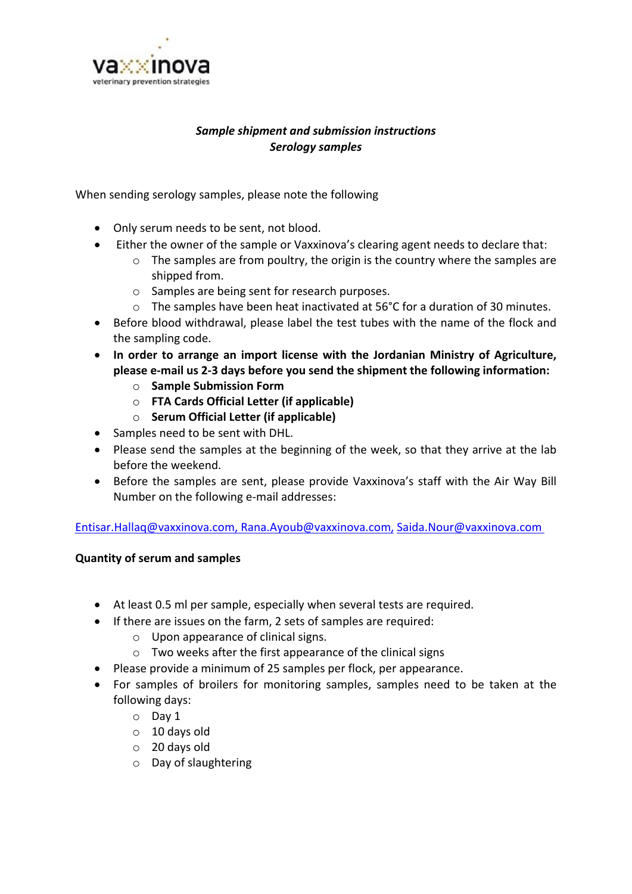

# *Sample shipment and submission instructions Serology samples*

When sending serology samples, please note the following

- Only serum needs to be sent, not blood.
- Either the owner of the sample or Vaxxinova's clearing agent needs to declare that:
	- o The samples are from poultry, the origin is the country where the samples are shipped from.
	- o Samples are being sent for research purposes.
	- $\circ$  The samples have been heat inactivated at 56°C for a duration of 30 minutes.
- Before blood withdrawal, please label the test tubes with the name of the flock and the sampling code.
- **In order to arrange an import license with the Jordanian Ministry of Agriculture, please e-mail us 2-3 days before you send the shipment the following information:**
	- o **Sample Submission Form**
	- o **FTA Cards Official Letter (if applicable)**
	- o **Serum Official Letter (if applicable)**
- Samples need to be sent with DHL.
- Please send the samples at the beginning of the week, so that they arrive at the lab before the weekend.
- Before the samples are sent, please provide Vaxxinova's staff with the Air Way Bill Number on the following e-mail addresses:

[Entisar.Hallaq@vaxxinova.com,](mailto:Entisar.Hallaq@vaxxinova.com) [Rana.Ayoub@vaxxinova.com,](mailto:Rana.Ayoub@vaxxinova.com) [Saida.Nour@vaxxinova.com](mailto:Saida.Nour@vaxxinova.com)

#### **Quantity of serum and samples**

- At least 0.5 ml per sample, especially when several tests are required.
- If there are issues on the farm, 2 sets of samples are required:
	- o Upon appearance of clinical signs.
	- o Two weeks after the first appearance of the clinical signs
- Please provide a minimum of 25 samples per flock, per appearance.
- For samples of broilers for monitoring samples, samples need to be taken at the following days:
	- o Day 1
	- o 10 days old
	- o 20 days old
	- o Day of slaughtering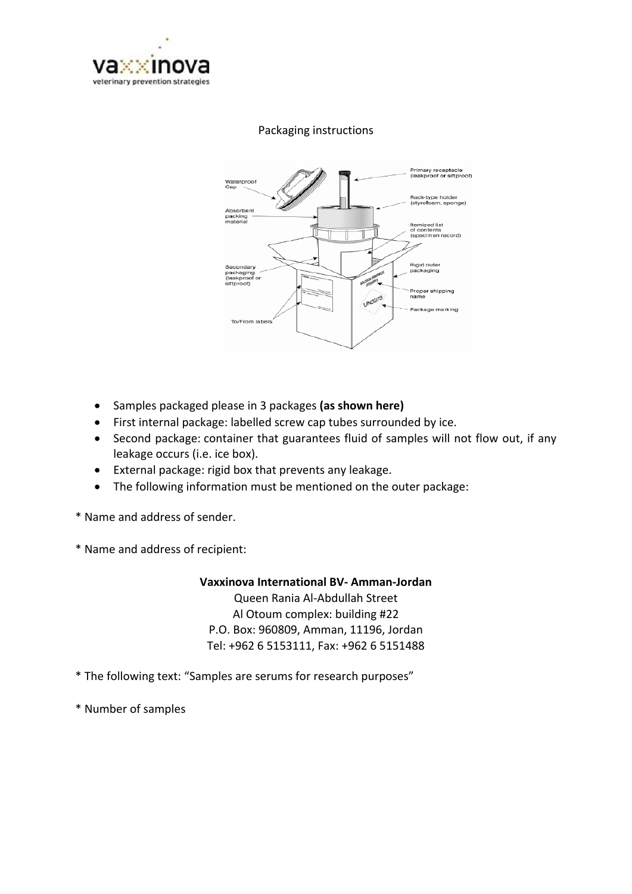

### Packaging instructions



- Samples packaged please in 3 packages **(as shown here)**
- First internal package: labelled screw cap tubes surrounded by ice.
- Second package: container that guarantees fluid of samples will not flow out, if any leakage occurs (i.e. ice box).
- External package: rigid box that prevents any leakage.
- The following information must be mentioned on the outer package:
- \* Name and address of sender.
- \* Name and address of recipient:

#### **Vaxxinova International BV- Amman-Jordan**

Queen Rania Al-Abdullah Street Al Otoum complex: building #22 P.O. Box: 960809, Amman, 11196, Jordan Tel: +962 6 5153111, Fax: +962 6 5151488

- \* The following text: "Samples are serums for research purposes"
- \* Number of samples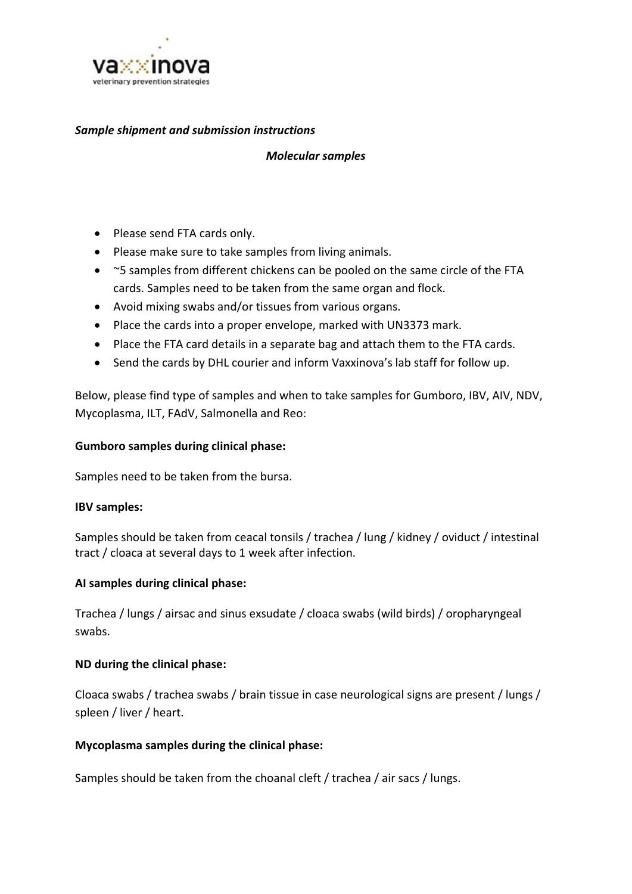

#### *Sample shipment and submission instructions*

#### *Molecular samples*

- Please send FTA cards only.
- Please make sure to take samples from living animals.
- ~5 samples from different chickens can be pooled on the same circle of the FTA cards. Samples need to be taken from the same organ and flock.
- Avoid mixing swabs and/or tissues from various organs.
- Place the cards into a proper envelope, marked with UN3373 mark.
- Place the FTA card details in a separate bag and attach them to the FTA cards.
- Send the cards by DHL courier and inform Vaxxinova's lab staff for follow up.

Below, please find type of samples and when to take samples for Gumboro, IBV, AIV, NDV, Mycoplasma, ILT, FAdV, Salmonella and Reo:

### **Gumboro samples during clinical phase:**

Samples need to be taken from the bursa.

#### **IBV samples:**

Samples should be taken from ceacal tonsils / trachea / lung / kidney / oviduct / intestinal tract / cloaca at several days to 1 week after infection.

#### **AI samples during clinical phase:**

Trachea / lungs / airsac and sinus exsudate / cloaca swabs (wild birds) / oropharyngeal swabs.

#### **ND during the clinical phase:**

Cloaca swabs / trachea swabs / brain tissue in case neurological signs are present / lungs / spleen / liver / heart.

#### **Mycoplasma samples during the clinical phase:**

Samples should be taken from the choanal cleft / trachea / air sacs / lungs.